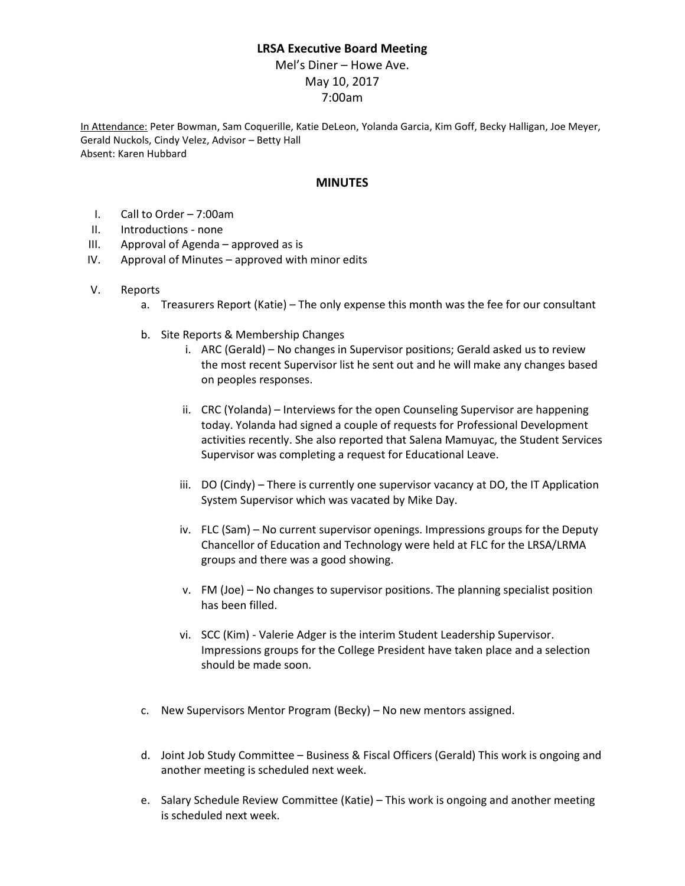## **LRSA Executive Board Meeting**

Mel's Diner – Howe Ave. May 10, 2017 7:00am

In Attendance: Peter Bowman, Sam Coquerille, Katie DeLeon, Yolanda Garcia, Kim Goff, Becky Halligan, Joe Meyer, Gerald Nuckols, Cindy Velez, Advisor – Betty Hall Absent: Karen Hubbard

## **MINUTES**

- I. Call to Order 7:00am
- II. Introductions none
- III. Approval of Agenda approved as is
- IV. Approval of Minutes approved with minor edits
- V. Reports
	- a. Treasurers Report (Katie) The only expense this month was the fee for our consultant
	- b. Site Reports & Membership Changes
		- i. ARC (Gerald) No changes in Supervisor positions; Gerald asked us to review the most recent Supervisor list he sent out and he will make any changes based on peoples responses.
		- ii. CRC (Yolanda) Interviews for the open Counseling Supervisor are happening today. Yolanda had signed a couple of requests for Professional Development activities recently. She also reported that Salena Mamuyac, the Student Services Supervisor was completing a request for Educational Leave.
		- iii. DO (Cindy) There is currently one supervisor vacancy at DO, the IT Application System Supervisor which was vacated by Mike Day.
		- iv. FLC (Sam) No current supervisor openings. Impressions groups for the Deputy Chancellor of Education and Technology were held at FLC for the LRSA/LRMA groups and there was a good showing.
		- v. FM (Joe) No changes to supervisor positions. The planning specialist position has been filled.
		- vi. SCC (Kim) Valerie Adger is the interim Student Leadership Supervisor. Impressions groups for the College President have taken place and a selection should be made soon.
	- c. New Supervisors Mentor Program (Becky) No new mentors assigned.
	- d. Joint Job Study Committee Business & Fiscal Officers (Gerald) This work is ongoing and another meeting is scheduled next week.
	- e. Salary Schedule Review Committee (Katie) This work is ongoing and another meeting is scheduled next week.